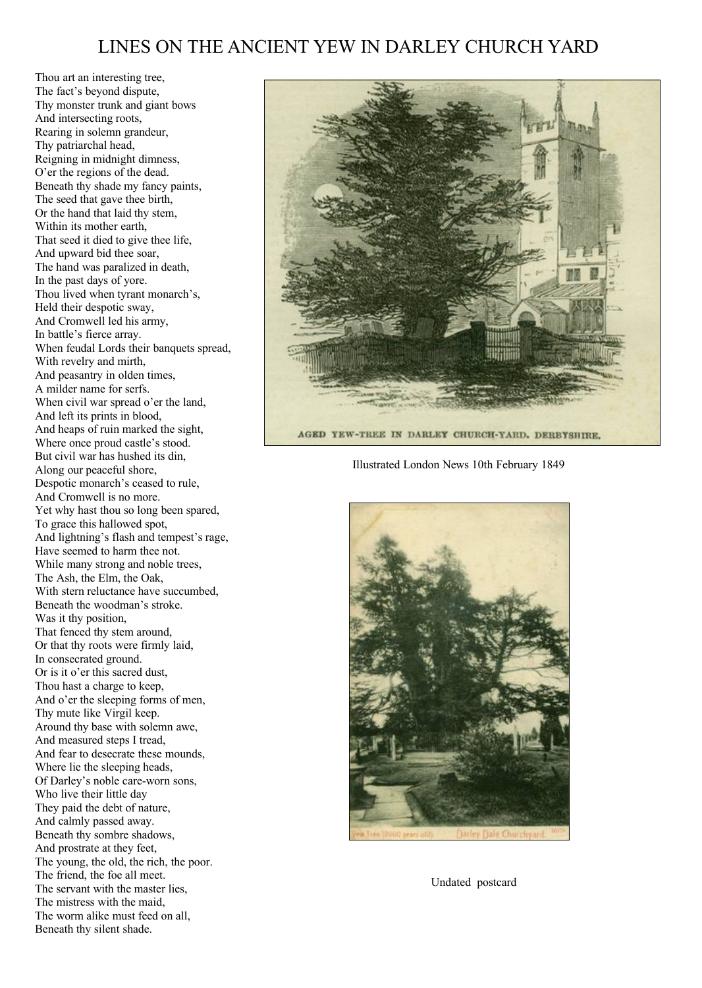## LINES ON THE ANCIENT YEW IN DARLEY CHURCH YARD

Thou art an interesting tree, The fact's beyond dispute, Thy monster trunk and giant bows And intersecting roots, Rearing in solemn grandeur, Thy patriarchal head, Reigning in midnight dimness, O'er the regions of the dead. Beneath thy shade my fancy paints, The seed that gave thee birth, Or the hand that laid thy stem, Within its mother earth, That seed it died to give thee life, And upward bid thee soar, The hand was paralized in death, In the past days of yore. Thou lived when tyrant monarch's, Held their despotic sway, And Cromwell led his army, In battle's fierce array. When feudal Lords their banquets spread, With revelry and mirth, And peasantry in olden times, A milder name for serfs. When civil war spread o'er the land, And left its prints in blood, And heaps of ruin marked the sight, Where once proud castle's stood. But civil war has hushed its din, Along our peaceful shore, Despotic monarch's ceased to rule, And Cromwell is no more. Yet why hast thou so long been spared, To grace this hallowed spot, And lightning's flash and tempest's rage, Have seemed to harm thee not. While many strong and noble trees, The Ash, the Elm, the Oak, With stern reluctance have succumbed, Beneath the woodman's stroke. Was it thy position, That fenced thy stem around, Or that thy roots were firmly laid, In consecrated ground. Or is it o'er this sacred dust, Thou hast a charge to keep, And o'er the sleeping forms of men, Thy mute like Virgil keep. Around thy base with solemn awe, And measured steps I tread, And fear to desecrate these mounds, Where lie the sleeping heads. Of Darley's noble care-worn sons, Who live their little day They paid the debt of nature, And calmly passed away. Beneath thy sombre shadows, And prostrate at they feet, The young, the old, the rich, the poor. The friend, the foe all meet. The servant with the master lies, The mistress with the maid, The worm alike must feed on all, Beneath thy silent shade.



Illustrated London News 10th February 1849



Undated postcard